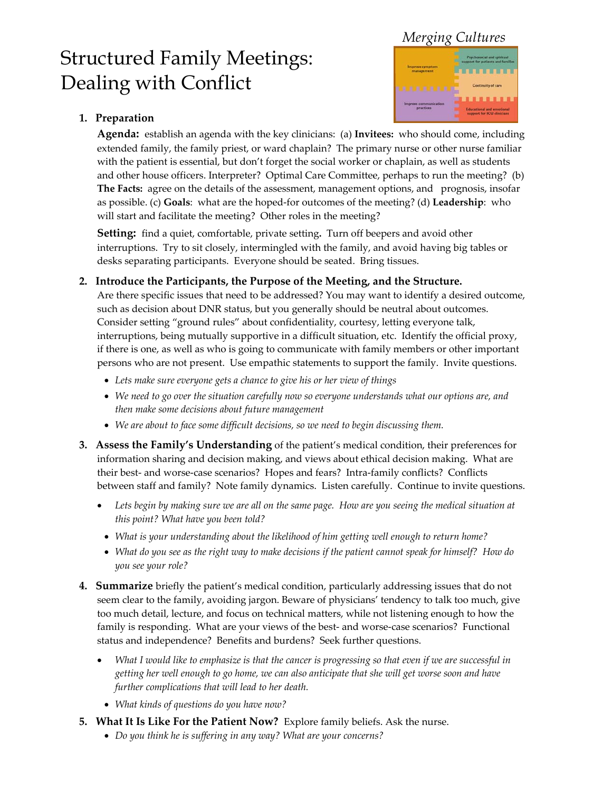# *Merging Cultures*

# Structured Family Meetings: Dealing with Conflict



## **1. Preparation**

**Agenda:** establish an agenda with the key clinicians: (a) **Invitees:** who should come, including extended family, the family priest, or ward chaplain? The primary nurse or other nurse familiar with the patient is essential, but don't forget the social worker or chaplain, as well as students and other house officers. Interpreter? Optimal Care Committee, perhaps to run the meeting? (b) **The Facts:** agree on the details of the assessment, management options, and prognosis, insofar as possible. (c) **Goals**: what are the hoped-for outcomes of the meeting? (d) **Leadership**: who will start and facilitate the meeting? Other roles in the meeting?

**Setting:** find a quiet, comfortable, private setting**.** Turn off beepers and avoid other interruptions. Try to sit closely, intermingled with the family, and avoid having big tables or desks separating participants. Everyone should be seated. Bring tissues.

#### **2. Introduce the Participants, the Purpose of the Meeting, and the Structure.**

Are there specific issues that need to be addressed? You may want to identify a desired outcome, such as decision about DNR status, but you generally should be neutral about outcomes. Consider setting "ground rules" about confidentiality, courtesy, letting everyone talk, interruptions, being mutually supportive in a difficult situation, etc. Identify the official proxy, if there is one, as well as who is going to communicate with family members or other important persons who are not present. Use empathic statements to support the family. Invite questions.

- *Lets make sure everyone gets a chance to give his or her view of things*
- *We need to go over the situation carefully now so everyone understands what our options are, and then make some decisions about future management*
- *We are about to face some difficult decisions, so we need to begin discussing them.*
- **3. Assess the Family's Understanding** of the patient's medical condition, their preferences for information sharing and decision making, and views about ethical decision making. What are their best- and worse-case scenarios? Hopes and fears? Intra-family conflicts? Conflicts between staff and family?Note family dynamics. Listen carefully. Continue to invite questions.
	- *Lets begin by making sure we are all on the same page. How are you seeing the medical situation at this point? What have you been told?*
	- *What is your understanding about the likelihood of him getting well enough to return home?*
	- *What do you see as the right way to make decisions if the patient cannot speak for himself? How do you see your role?*
- **4. Summarize** briefly the patient's medical condition, particularly addressing issues that do not seem clear to the family, avoiding jargon. Beware of physicians' tendency to talk too much, give too much detail, lecture, and focus on technical matters, while not listening enough to how the family is responding. What are your views of the best- and worse-case scenarios? Functional status and independence? Benefits and burdens? Seek further questions.
	- *What I would like to emphasize is that the cancer is progressing so that even if we are successful in getting her well enough to go home, we can also anticipate that she will get worse soon and have further complications that will lead to her death.* 
		- *What kinds of questions do you have now?*
- **5. What It Is Like For the Patient Now?** Explore family beliefs. Ask the nurse.
	- *Do you think he is suffering in any way? What are your concerns?*